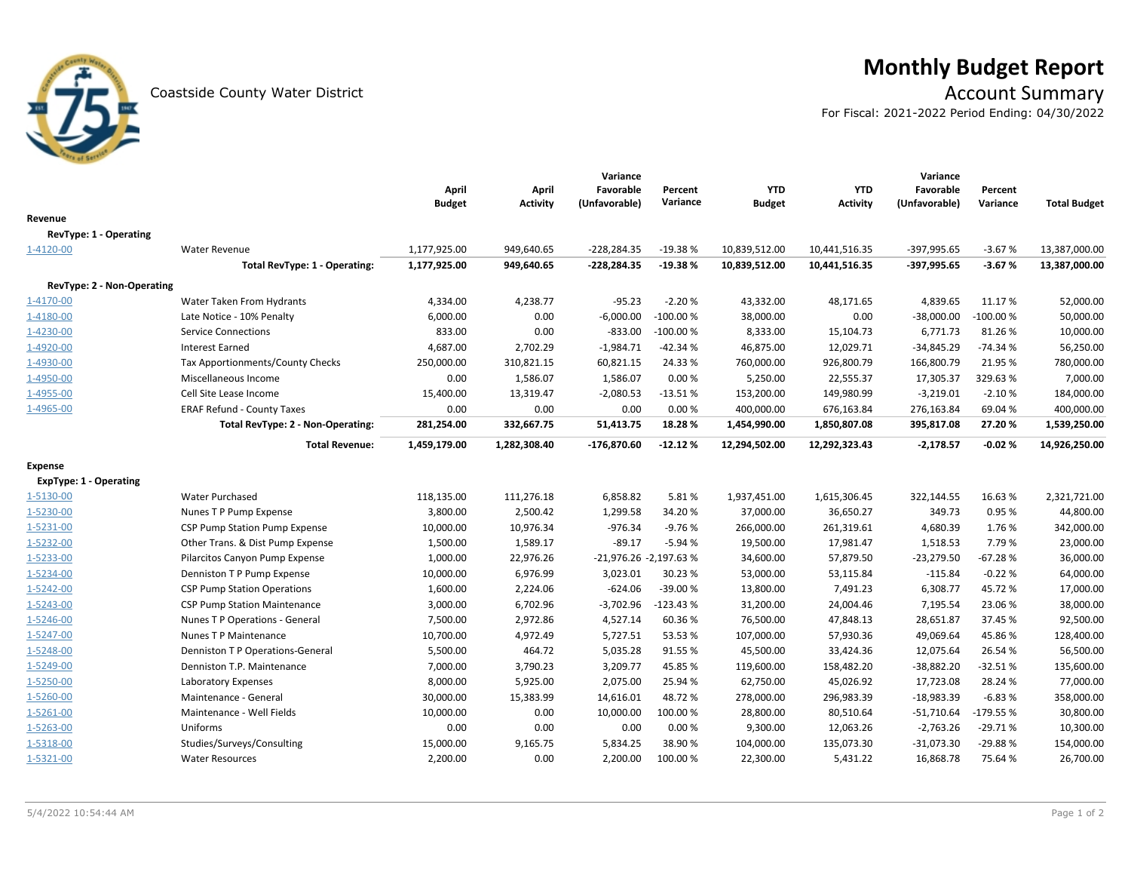

# **Monthly Budget Report**<br>Account Summary

For Fiscal: 2021-2022 Period Ending: 04/30/2022

|                               |                                     |               |                 | Variance               |            |               |                 | Variance      |            |                     |
|-------------------------------|-------------------------------------|---------------|-----------------|------------------------|------------|---------------|-----------------|---------------|------------|---------------------|
|                               |                                     | April         | April           | Favorable              | Percent    | <b>YTD</b>    | <b>YTD</b>      | Favorable     | Percent    |                     |
|                               |                                     | <b>Budget</b> | <b>Activity</b> | (Unfavorable)          | Variance   | <b>Budget</b> | <b>Activity</b> | (Unfavorable) | Variance   | <b>Total Budget</b> |
| Revenue                       |                                     |               |                 |                        |            |               |                 |               |            |                     |
| RevType: 1 - Operating        |                                     |               |                 |                        |            |               |                 |               |            |                     |
| 1-4120-00                     | <b>Water Revenue</b>                | 1,177,925.00  | 949,640.65      | $-228,284.35$          | $-19.38%$  | 10,839,512.00 | 10,441,516.35   | -397,995.65   | $-3.67%$   | 13,387,000.00       |
|                               | Total RevType: 1 - Operating:       | 1,177,925.00  | 949,640.65      | $-228,284.35$          | $-19.38%$  | 10,839,512.00 | 10,441,516.35   | $-397,995.65$ | $-3.67%$   | 13,387,000.00       |
| RevType: 2 - Non-Operating    |                                     |               |                 |                        |            |               |                 |               |            |                     |
| 1-4170-00                     | Water Taken From Hydrants           | 4,334.00      | 4,238.77        | $-95.23$               | $-2.20%$   | 43,332.00     | 48,171.65       | 4,839.65      | 11.17%     | 52,000.00           |
| 1-4180-00                     | Late Notice - 10% Penalty           | 6,000.00      | 0.00            | $-6,000.00$            | $-100.00%$ | 38,000.00     | 0.00            | $-38,000.00$  | $-100.00%$ | 50,000.00           |
| 1-4230-00                     | <b>Service Connections</b>          | 833.00        | 0.00            | $-833.00$              | $-100.00%$ | 8,333.00      | 15,104.73       | 6,771.73      | 81.26%     | 10,000.00           |
| 1-4920-00                     | <b>Interest Earned</b>              | 4,687.00      | 2,702.29        | $-1,984.71$            | $-42.34%$  | 46,875.00     | 12,029.71       | $-34,845.29$  | $-74.34%$  | 56,250.00           |
| 1-4930-00                     | Tax Apportionments/County Checks    | 250,000.00    | 310,821.15      | 60,821.15              | 24.33%     | 760,000.00    | 926,800.79      | 166,800.79    | 21.95%     | 780,000.00          |
| 1-4950-00                     | Miscellaneous Income                | 0.00          | 1,586.07        | 1,586.07               | 0.00%      | 5,250.00      | 22,555.37       | 17,305.37     | 329.63%    | 7,000.00            |
| 1-4955-00                     | Cell Site Lease Income              | 15,400.00     | 13,319.47       | $-2,080.53$            | $-13.51%$  | 153,200.00    | 149,980.99      | $-3,219.01$   | $-2.10%$   | 184,000.00          |
| 1-4965-00                     | <b>ERAF Refund - County Taxes</b>   | 0.00          | 0.00            | 0.00                   | 0.00%      | 400,000.00    | 676,163.84      | 276,163.84    | 69.04%     | 400,000.00          |
|                               | Total RevType: 2 - Non-Operating:   | 281,254.00    | 332,667.75      | 51,413.75              | 18.28%     | 1,454,990.00  | 1,850,807.08    | 395,817.08    | 27.20%     | 1,539,250.00        |
|                               | <b>Total Revenue:</b>               | 1,459,179.00  | 1,282,308.40    | $-176,870.60$          | $-12.12%$  | 12,294,502.00 | 12,292,323.43   | $-2,178.57$   | $-0.02%$   | 14,926,250.00       |
| <b>Expense</b>                |                                     |               |                 |                        |            |               |                 |               |            |                     |
| <b>ExpType: 1 - Operating</b> |                                     |               |                 |                        |            |               |                 |               |            |                     |
| 1-5130-00                     | Water Purchased                     | 118,135.00    | 111,276.18      | 6,858.82               | 5.81%      | 1,937,451.00  | 1,615,306.45    | 322,144.55    | 16.63%     | 2,321,721.00        |
| 1-5230-00                     | Nunes T P Pump Expense              | 3,800.00      | 2,500.42        | 1,299.58               | 34.20%     | 37,000.00     | 36,650.27       | 349.73        | 0.95%      | 44,800.00           |
| 1-5231-00                     | CSP Pump Station Pump Expense       | 10,000.00     | 10,976.34       | $-976.34$              | $-9.76%$   | 266,000.00    | 261,319.61      | 4,680.39      | 1.76%      | 342,000.00          |
| 1-5232-00                     | Other Trans. & Dist Pump Expense    | 1,500.00      | 1,589.17        | $-89.17$               | $-5.94%$   | 19,500.00     | 17,981.47       | 1,518.53      | 7.79%      | 23,000.00           |
| 1-5233-00                     | Pilarcitos Canyon Pump Expense      | 1,000.00      | 22,976.26       | -21,976.26 -2,197.63 % |            | 34,600.00     | 57,879.50       | $-23,279.50$  | $-67.28%$  | 36,000.00           |
| 1-5234-00                     | Denniston T P Pump Expense          | 10,000.00     | 6,976.99        | 3,023.01               | 30.23%     | 53,000.00     | 53,115.84       | $-115.84$     | $-0.22%$   | 64,000.00           |
| 1-5242-00                     | <b>CSP Pump Station Operations</b>  | 1,600.00      | 2,224.06        | $-624.06$              | -39.00 %   | 13,800.00     | 7,491.23        | 6,308.77      | 45.72%     | 17,000.00           |
| 1-5243-00                     | <b>CSP Pump Station Maintenance</b> | 3,000.00      | 6,702.96        | $-3,702.96$            | $-123.43%$ | 31,200.00     | 24,004.46       | 7,195.54      | 23.06%     | 38,000.00           |
| 1-5246-00                     | Nunes T P Operations - General      | 7,500.00      | 2,972.86        | 4,527.14               | 60.36%     | 76,500.00     | 47,848.13       | 28,651.87     | 37.45%     | 92,500.00           |
| 1-5247-00                     | Nunes T P Maintenance               | 10,700.00     | 4,972.49        | 5,727.51               | 53.53%     | 107,000.00    | 57,930.36       | 49,069.64     | 45.86%     | 128,400.00          |
| 1-5248-00                     | Denniston T P Operations-General    | 5,500.00      | 464.72          | 5,035.28               | 91.55%     | 45,500.00     | 33,424.36       | 12,075.64     | 26.54%     | 56,500.00           |
| 1-5249-00                     | Denniston T.P. Maintenance          | 7,000.00      | 3,790.23        | 3,209.77               | 45.85%     | 119,600.00    | 158,482.20      | $-38,882.20$  | $-32.51%$  | 135,600.00          |
| 1-5250-00                     | Laboratory Expenses                 | 8,000.00      | 5,925.00        | 2,075.00               | 25.94%     | 62,750.00     | 45,026.92       | 17,723.08     | 28.24%     | 77,000.00           |
| 1-5260-00                     | Maintenance - General               | 30,000.00     | 15,383.99       | 14,616.01              | 48.72%     | 278,000.00    | 296,983.39      | $-18,983.39$  | $-6.83%$   | 358,000.00          |
| 1-5261-00                     | Maintenance - Well Fields           | 10,000.00     | 0.00            | 10,000.00              | 100.00%    | 28,800.00     | 80,510.64       | $-51,710.64$  | -179.55%   | 30,800.00           |
| 1-5263-00                     | Uniforms                            | 0.00          | 0.00            | 0.00                   | 0.00%      | 9,300.00      | 12,063.26       | $-2,763.26$   | $-29.71%$  | 10,300.00           |
| 1-5318-00                     | Studies/Surveys/Consulting          | 15,000.00     | 9,165.75        | 5,834.25               | 38.90%     | 104,000.00    | 135,073.30      | $-31,073.30$  | $-29.88%$  | 154,000.00          |
| 1-5321-00                     | <b>Water Resources</b>              | 2,200.00      | 0.00            | 2,200.00               | 100.00%    | 22,300.00     | 5,431.22        | 16,868.78     | 75.64%     | 26,700.00           |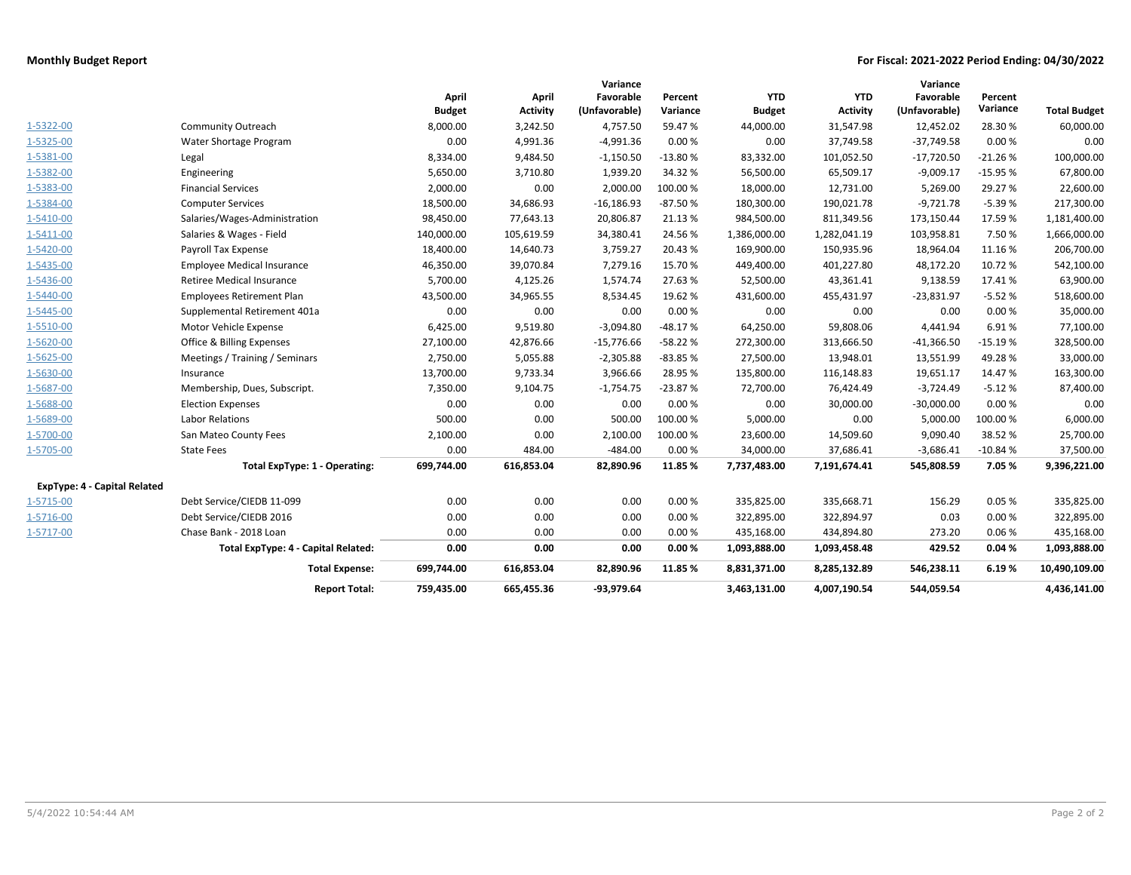## **Monthly Budget Report For Fiscal: 2021-2022 Period Ending: 04/30/2022**

|                                     |                                     |               |                 | Variance      |           |               |                 | Variance      |           |                     |
|-------------------------------------|-------------------------------------|---------------|-----------------|---------------|-----------|---------------|-----------------|---------------|-----------|---------------------|
|                                     |                                     | April         | April           | Favorable     | Percent   | <b>YTD</b>    | <b>YTD</b>      | Favorable     | Percent   |                     |
|                                     |                                     | <b>Budget</b> | <b>Activity</b> | (Unfavorable) | Variance  | <b>Budget</b> | <b>Activity</b> | (Unfavorable) | Variance  | <b>Total Budget</b> |
| 1-5322-00                           | <b>Community Outreach</b>           | 8,000.00      | 3,242.50        | 4,757.50      | 59.47%    | 44,000.00     | 31,547.98       | 12,452.02     | 28.30%    | 60,000.00           |
| 1-5325-00                           | Water Shortage Program              | 0.00          | 4,991.36        | $-4,991.36$   | 0.00%     | 0.00          | 37,749.58       | $-37,749.58$  | 0.00%     | 0.00                |
| 1-5381-00                           | Legal                               | 8,334.00      | 9,484.50        | $-1,150.50$   | $-13.80%$ | 83,332.00     | 101,052.50      | $-17,720.50$  | $-21.26%$ | 100,000.00          |
| 1-5382-00                           | Engineering                         | 5,650.00      | 3,710.80        | 1,939.20      | 34.32%    | 56,500.00     | 65,509.17       | $-9,009.17$   | $-15.95%$ | 67,800.00           |
| 1-5383-00                           | <b>Financial Services</b>           | 2,000.00      | 0.00            | 2,000.00      | 100.00%   | 18,000.00     | 12,731.00       | 5,269.00      | 29.27%    | 22,600.00           |
| 1-5384-00                           | <b>Computer Services</b>            | 18,500.00     | 34,686.93       | $-16,186.93$  | $-87.50%$ | 180,300.00    | 190,021.78      | $-9,721.78$   | $-5.39%$  | 217,300.00          |
| 1-5410-00                           | Salaries/Wages-Administration       | 98,450.00     | 77,643.13       | 20,806.87     | 21.13%    | 984,500.00    | 811,349.56      | 173,150.44    | 17.59%    | 1,181,400.00        |
| 1-5411-00                           | Salaries & Wages - Field            | 140,000.00    | 105,619.59      | 34,380.41     | 24.56%    | 1,386,000.00  | 1,282,041.19    | 103,958.81    | 7.50%     | 1,666,000.00        |
| 1-5420-00                           | Payroll Tax Expense                 | 18,400.00     | 14,640.73       | 3,759.27      | 20.43%    | 169,900.00    | 150,935.96      | 18,964.04     | 11.16%    | 206,700.00          |
| 1-5435-00                           | <b>Employee Medical Insurance</b>   | 46,350.00     | 39,070.84       | 7,279.16      | 15.70%    | 449,400.00    | 401,227.80      | 48,172.20     | 10.72%    | 542,100.00          |
| 1-5436-00                           | Retiree Medical Insurance           | 5,700.00      | 4,125.26        | 1,574.74      | 27.63%    | 52,500.00     | 43,361.41       | 9,138.59      | 17.41%    | 63,900.00           |
| 1-5440-00                           | <b>Employees Retirement Plan</b>    | 43,500.00     | 34,965.55       | 8,534.45      | 19.62%    | 431,600.00    | 455,431.97      | $-23,831.97$  | $-5.52%$  | 518,600.00          |
| 1-5445-00                           | Supplemental Retirement 401a        | 0.00          | 0.00            | 0.00          | 0.00%     | 0.00          | 0.00            | 0.00          | 0.00%     | 35,000.00           |
| 1-5510-00                           | Motor Vehicle Expense               | 6,425.00      | 9,519.80        | $-3,094.80$   | $-48.17%$ | 64,250.00     | 59,808.06       | 4,441.94      | 6.91%     | 77,100.00           |
| 1-5620-00                           | Office & Billing Expenses           | 27,100.00     | 42,876.66       | $-15,776.66$  | $-58.22%$ | 272,300.00    | 313,666.50      | $-41,366.50$  | $-15.19%$ | 328,500.00          |
| 1-5625-00                           | Meetings / Training / Seminars      | 2,750.00      | 5,055.88        | $-2,305.88$   | $-83.85%$ | 27,500.00     | 13,948.01       | 13,551.99     | 49.28%    | 33,000.00           |
| 1-5630-00                           | Insurance                           | 13,700.00     | 9,733.34        | 3,966.66      | 28.95 %   | 135,800.00    | 116,148.83      | 19,651.17     | 14.47%    | 163,300.00          |
| 1-5687-00                           | Membership, Dues, Subscript.        | 7,350.00      | 9,104.75        | $-1,754.75$   | $-23.87%$ | 72,700.00     | 76,424.49       | $-3,724.49$   | $-5.12%$  | 87,400.00           |
| 1-5688-00                           | <b>Election Expenses</b>            | 0.00          | 0.00            | 0.00          | 0.00%     | 0.00          | 30,000.00       | $-30,000.00$  | 0.00%     | 0.00                |
| 1-5689-00                           | <b>Labor Relations</b>              | 500.00        | 0.00            | 500.00        | 100.00%   | 5,000.00      | 0.00            | 5,000.00      | 100.00%   | 6,000.00            |
| 1-5700-00                           | San Mateo County Fees               | 2,100.00      | 0.00            | 2,100.00      | 100.00%   | 23,600.00     | 14,509.60       | 9,090.40      | 38.52%    | 25,700.00           |
| 1-5705-00                           | <b>State Fees</b>                   | 0.00          | 484.00          | $-484.00$     | 0.00%     | 34,000.00     | 37,686.41       | $-3,686.41$   | $-10.84%$ | 37,500.00           |
|                                     | Total ExpType: 1 - Operating:       | 699,744.00    | 616,853.04      | 82,890.96     | 11.85 %   | 7,737,483.00  | 7,191,674.41    | 545,808.59    | 7.05%     | 9,396,221.00        |
| <b>ExpType: 4 - Capital Related</b> |                                     |               |                 |               |           |               |                 |               |           |                     |
| 1-5715-00                           | Debt Service/CIEDB 11-099           | 0.00          | 0.00            | 0.00          | 0.00%     | 335,825.00    | 335,668.71      | 156.29        | 0.05%     | 335,825.00          |
| 1-5716-00                           | Debt Service/CIEDB 2016             | 0.00          | 0.00            | 0.00          | 0.00%     | 322,895.00    | 322,894.97      | 0.03          | 0.00%     | 322,895.00          |
| 1-5717-00                           | Chase Bank - 2018 Loan              | 0.00          | 0.00            | 0.00          | 0.00%     | 435,168.00    | 434,894.80      | 273.20        | 0.06%     | 435,168.00          |
|                                     | Total ExpType: 4 - Capital Related: | 0.00          | 0.00            | 0.00          | 0.00%     | 1,093,888.00  | 1,093,458.48    | 429.52        | 0.04%     | 1,093,888.00        |
|                                     | <b>Total Expense:</b>               | 699,744.00    | 616,853.04      | 82,890.96     | 11.85 %   | 8,831,371.00  | 8,285,132.89    | 546,238.11    | 6.19%     | 10,490,109.00       |
|                                     | <b>Report Total:</b>                | 759.435.00    | 665.455.36      | -93.979.64    |           | 3.463.131.00  | 4,007,190.54    | 544.059.54    |           | 4,436,141.00        |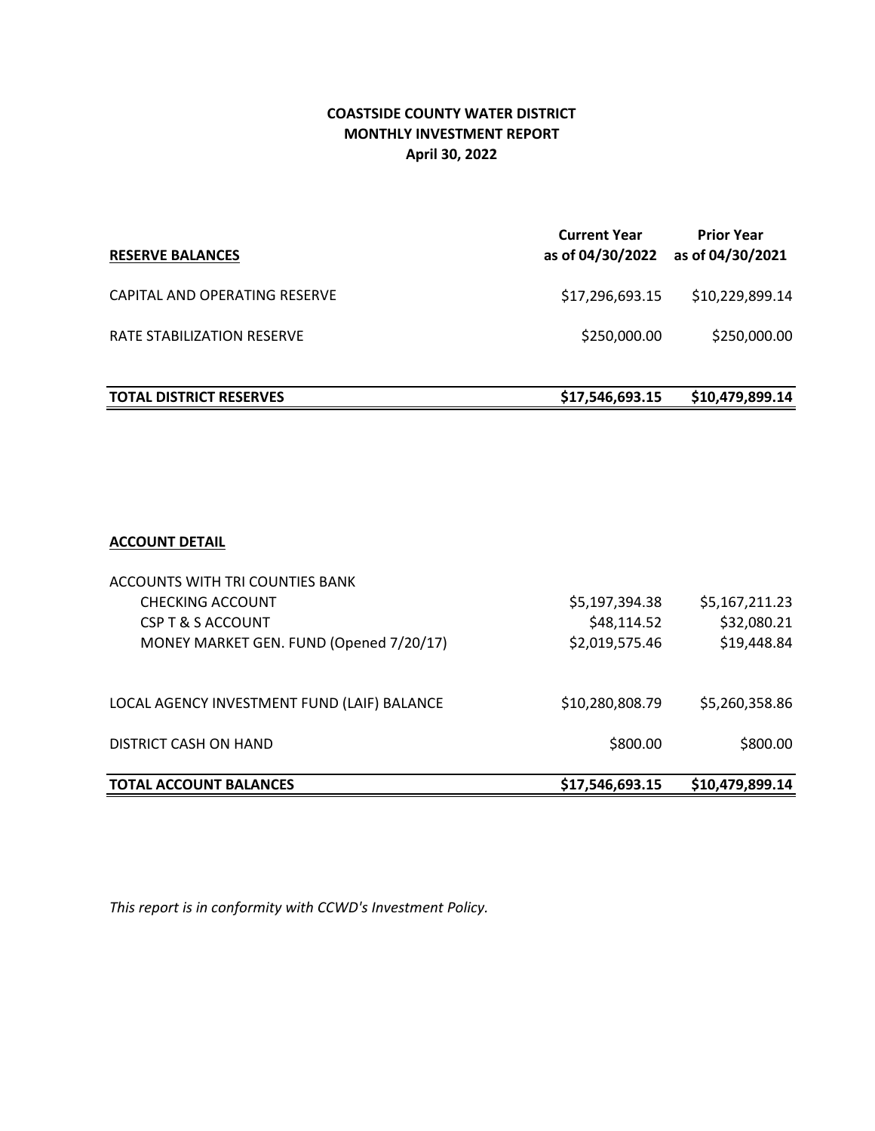# **April 30, 2022 COASTSIDE COUNTY WATER DISTRICT MONTHLY INVESTMENT REPORT**

| <b>RESERVE BALANCES</b>        | <b>Current Year</b><br>as of 04/30/2022 | <b>Prior Year</b><br>as of 04/30/2021 |
|--------------------------------|-----------------------------------------|---------------------------------------|
| CAPITAL AND OPERATING RESERVE  | \$17,296,693.15                         | \$10,229,899.14                       |
| RATE STABILIZATION RESERVE     | \$250,000.00                            | \$250,000.00                          |
| <b>TOTAL DISTRICT RESERVES</b> | \$17,546,693.15                         | \$10,479,899.14                       |

# **ACCOUNT DETAIL**

| <b>TOTAL ACCOUNT BALANCES</b>               | \$17,546,693.15 | \$10,479,899.14 |
|---------------------------------------------|-----------------|-----------------|
| DISTRICT CASH ON HAND                       | \$800.00        | \$800.00        |
|                                             |                 |                 |
| LOCAL AGENCY INVESTMENT FUND (LAIF) BALANCE | \$10,280,808.79 | \$5,260,358.86  |
| MONEY MARKET GEN. FUND (Opened 7/20/17)     | \$2,019,575.46  | \$19,448.84     |
| CSP T & S ACCOUNT                           | \$48,114.52     | \$32,080.21     |
| CHECKING ACCOUNT                            | \$5,197,394.38  | \$5,167,211.23  |
| ACCOUNTS WITH TRI COUNTIES BANK             |                 |                 |

*This report is in conformity with CCWD's Investment Policy.*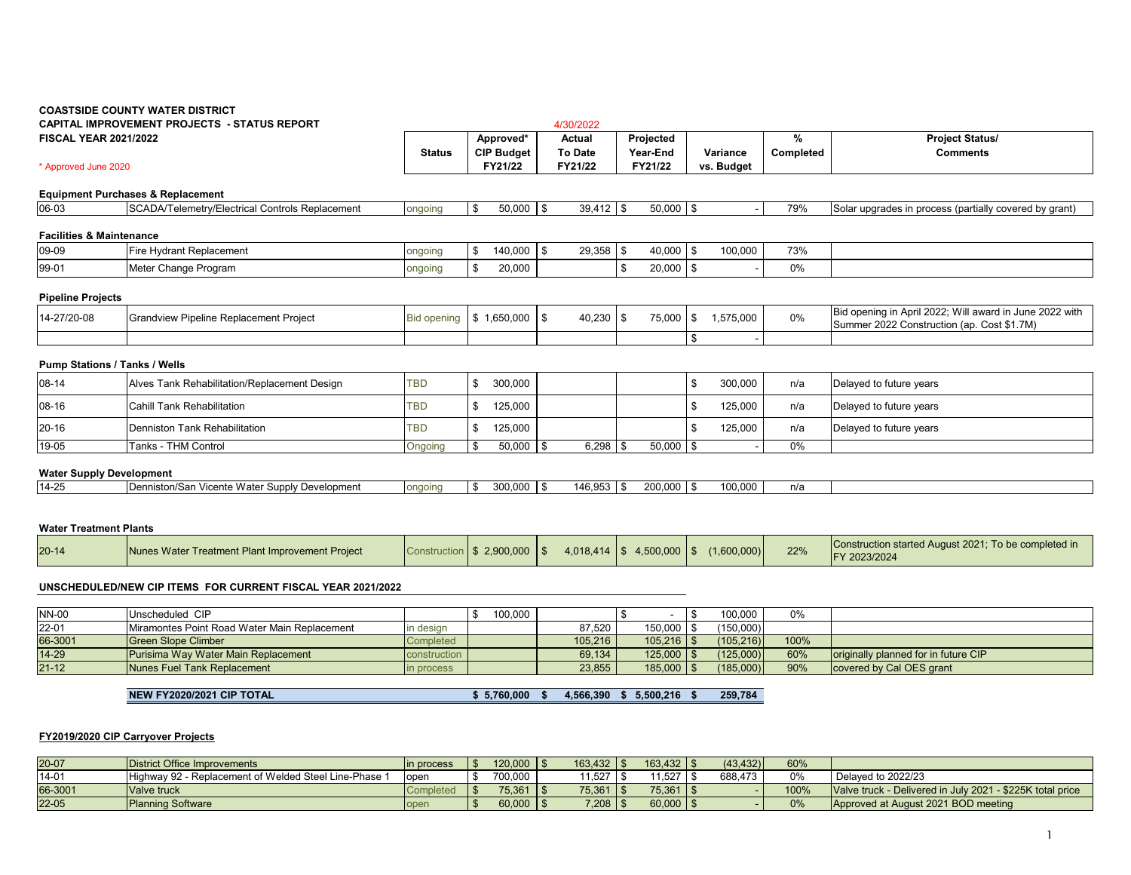# **COASTSIDE COUNTY WATER DISTRICT CAPITAL IMPROVEMENT PROJECTS - STATUS REPORT**

| <b>FISCAL YEAR 2021/2022</b>        |                                                 | <b>Status</b>      | Approved*<br><b>CIP Budget</b> | Actual<br>To Date |      | Projected<br>Year-End |            | Variance   | %<br>Completed | <b>Project Status/</b><br><b>Comments</b>                                                             |
|-------------------------------------|-------------------------------------------------|--------------------|--------------------------------|-------------------|------|-----------------------|------------|------------|----------------|-------------------------------------------------------------------------------------------------------|
| * Approved June 2020                |                                                 |                    | FY21/22                        | FY21/22           |      | FY21/22               |            | vs. Budget |                |                                                                                                       |
|                                     | <b>Equipment Purchases &amp; Replacement</b>    |                    |                                |                   |      |                       |            |            |                |                                                                                                       |
| 06-03                               | SCADA/Telemetry/Electrical Controls Replacement | ongoing            | \$<br>$50,000$ \$              | $39,412$ \$       |      | $50,000$ \$           |            |            | 79%            | Solar upgrades in process (partially covered by grant)                                                |
| <b>Facilities &amp; Maintenance</b> |                                                 |                    |                                |                   |      |                       |            |            |                |                                                                                                       |
| 09-09                               | Fire Hydrant Replacement                        | ongoing            | 140,000                        | $29,358$ \$       |      | 40,000                | $\sqrt{3}$ | 100,000    | 73%            |                                                                                                       |
| 99-01                               | Meter Change Program                            | ongoing            | 20,000                         |                   | l \$ | $20,000$ \$           |            |            | 0%             |                                                                                                       |
| <b>Pipeline Projects</b>            |                                                 |                    |                                |                   |      |                       |            |            |                |                                                                                                       |
| 14-27/20-08                         | Grandview Pipeline Replacement Project          | <b>Bid opening</b> | $$1,650,000$ \\$               | $40,230$ \ \$     |      | 75,000                | l \$       | 1,575,000  | $0\%$          | Bid opening in April 2022; Will award in June 2022 with<br>Summer 2022 Construction (ap. Cost \$1.7M) |
|                                     |                                                 |                    |                                |                   |      |                       | l \$       |            |                |                                                                                                       |
| Pump Stations / Tanks / Wells       |                                                 |                    |                                |                   |      |                       |            |            |                |                                                                                                       |
| 08-14                               | Alves Tank Rehabilitation/Replacement Design    | <b>TBD</b>         | \$<br>300,000                  |                   |      |                       | l \$       | 300,000    | n/a            | Delayed to future years                                                                               |
| 08-16                               | <b>Cahill Tank Rehabilitation</b>               | <b>TBD</b>         | \$<br>125,000                  |                   |      |                       | <b>S</b>   | 125,000    | n/a            | Delayed to future years                                                                               |
| 20-16                               | Denniston Tank Rehabilitation                   | TBD                | \$<br>125,000                  |                   |      |                       | -\$        | 125,000    | n/a            | Delayed to future years                                                                               |
| 19-05                               | Tanks - THM Control                             | Ongoing            | $50,000$ \\$                   | $6,298$ \ \ \$    |      | $50,000$ \$           |            |            | 0%             |                                                                                                       |

4/30/2022

#### **Water Supply Development**

| $14-25$ | cente Wate<br>ı Der<br>Supply Development<br>ron/San<br>vicence | <b>Ondoln</b> | ,,,, | $\overline{a}$<br>т. | 200.000 | 100.000 | n/a |  |
|---------|-----------------------------------------------------------------|---------------|------|----------------------|---------|---------|-----|--|
|         |                                                                 |               |      |                      |         |         |     |  |

#### **Water Treatment Plants**

| $20 - 14$ | Nunes Water Treatment Plant Improvement Project |  | Construction   \$ 2,900,000   \$ |  | $4,018,414$ \ \$ 4,500,000 \ \$ | (1.600.000) | 22% | Construction started August 2021: To be completed in<br>/ 2023/2024 |
|-----------|-------------------------------------------------|--|----------------------------------|--|---------------------------------|-------------|-----|---------------------------------------------------------------------|
|-----------|-------------------------------------------------|--|----------------------------------|--|---------------------------------|-------------|-----|---------------------------------------------------------------------|

#### **UNSCHEDULED/NEW CIP ITEMS FOR CURRENT FISCAL YEAR 2021/2022**

| <b>NN-00</b> | Unscheduled CIP                              |              | 100.000 |         |                        | 100.000   | 0%   |                                              |
|--------------|----------------------------------------------|--------------|---------|---------|------------------------|-----------|------|----------------------------------------------|
| 22-01        | Miramontes Point Road Water Main Replacement | ın desıan    |         | 87.520  | 150.000 L              | (150,000) |      |                                              |
| 66-3001      | <b>Green Slope Climber</b>                   | Completed    |         | 105.216 | $105.216$   $\text{S}$ | (105.216) | 100% |                                              |
| $14 - 29$    | Purisima Way Water Main Replacement          | construction |         | 69.134  | $125,000$ \$           | (125,000) | 60%  | <b>Optimizally planned for in future CIP</b> |
| $21 - 12$    | Nunes Fuel Tank Replacement                  | in process   |         | 23,855  | $185,000$ >            | (185,000) | 90%  | covered by Cal OES grant                     |

**NEW FY2020/2021 CIP TOTAL \$ 5,760,000 \$ 4,566,390 \$ 5,500,216 \$ 259,784** 

#### **FY2019/2020 CIP Carryover Projects**

| 20-07   | District Office Improvements                          | in process | $120.000$ $\mid$ \$ | $163.432$   \$         | $163.432$   \$ | (43.432) | 60%  |                                                           |
|---------|-------------------------------------------------------|------------|---------------------|------------------------|----------------|----------|------|-----------------------------------------------------------|
| 14-01   | Highway 92 - Replacement of Welded Steel Line-Phase 1 | oper       | 700.000             | 1.527                  | 1,527          | 688.473  | 0%   | Delayed to 2022/23                                        |
| 66-3001 | Valve truck                                           |            | 75.361              | $75.361$ $\frac{1}{3}$ | 75,361         |          | 100% | Valve truck - Delivered in July 2021 - \$225K total price |
| 22-05   | <b>Planning Software</b>                              | open       | 60.000              | $7,208$ $\mid$ 3       | $60,000$   \$  |          | 0%   | Approved at August 2021 BOD meeting                       |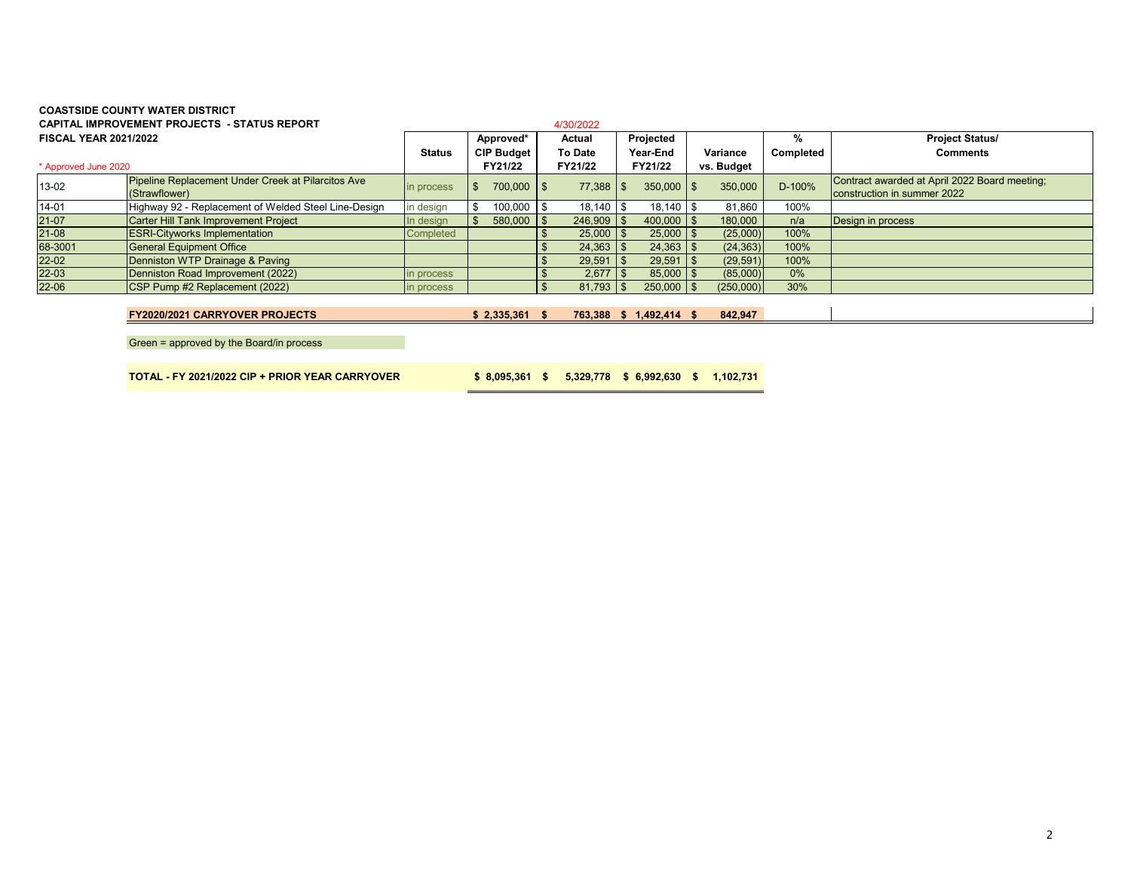# **COASTSIDE COUNTY WATER DISTRICTCAPITAL IMPROVEMENT PROJECTS - STATUS REPORT**

|                              | <b>CAPITAL IMPROVEMENT PROJECTS - STATUS REPORT</b>                 |               |                   | 4/30/2022       |                         |     |            |           |                                                                              |
|------------------------------|---------------------------------------------------------------------|---------------|-------------------|-----------------|-------------------------|-----|------------|-----------|------------------------------------------------------------------------------|
| <b>FISCAL YEAR 2021/2022</b> |                                                                     |               | Approved*         | Actual          | Projected               |     |            | %         | <b>Project Status/</b>                                                       |
|                              |                                                                     | <b>Status</b> | <b>CIP Budget</b> | <b>To Date</b>  | Year-End                |     | Variance   | Completed | <b>Comments</b>                                                              |
| * Approved June 2020         |                                                                     |               | FY21/22           | FY21/22         | FY21/22                 |     | vs. Budget |           |                                                                              |
| 13-02                        | Pipeline Replacement Under Creek at Pilarcitos Ave<br>(Strawflower) | in process    | 700.000 \$        | $77,388$ \ \ \$ | $350.000$ \ \$          |     | 350,000    | D-100%    | Contract awarded at April 2022 Board meeting;<br>construction in summer 2022 |
| $14 - 01$                    | Highway 92 - Replacement of Welded Steel Line-Design                | in design     | 100,000           | $18,140$ \ \$   | 18,140                  | -\$ | 81,860     | 100%      |                                                                              |
| 21-07                        | <b>Carter Hill Tank Improvement Project</b>                         | In design     | $580,000$ \$      | $246,909$ \$    | $400,000$ \ \$          |     | 180,000    | n/a       | Design in process                                                            |
| 21-08                        | <b>ESRI-Cityworks Implementation</b>                                | Completed     |                   | $25,000$ \ \$   | $25,000$ \ \$           |     | (25,000)   | 100%      |                                                                              |
| 68-3001                      | <b>General Equipment Office</b>                                     |               |                   | $24,363$ \$     |                         |     | (24, 363)  | 100%      |                                                                              |
| 22-02                        | Denniston WTP Drainage & Paving                                     |               |                   | $29,591$ \\$    | $29,591$ \\$            |     | (29, 591)  | 100%      |                                                                              |
| 22-03                        | Denniston Road Improvement (2022)                                   | in process    |                   |                 | $85,000$ \ \$           |     | (85,000)   | 0%        |                                                                              |
| 22-06                        | CSP Pump #2 Replacement (2022)                                      | in process    |                   | $81,793$ \$     | $250,000$   \$          |     | (250,000)  | 30%       |                                                                              |
|                              |                                                                     |               |                   |                 |                         |     |            |           |                                                                              |
|                              | <b>FY2020/2021 CARRYOVER PROJECTS</b>                               |               | $$2,335,361$ \$   |                 | 763,388 \$ 1,492,414 \$ |     | 842,947    |           |                                                                              |
|                              |                                                                     |               |                   |                 |                         |     |            |           |                                                                              |

Green = approved by the Board/in process

**TOTAL - FY 2021/2022 CIP + PRIOR YEAR CARRYOVER 8,095,361 \$ 5,329,778 \$ 6,992,630 \$ 1,102,731 \$**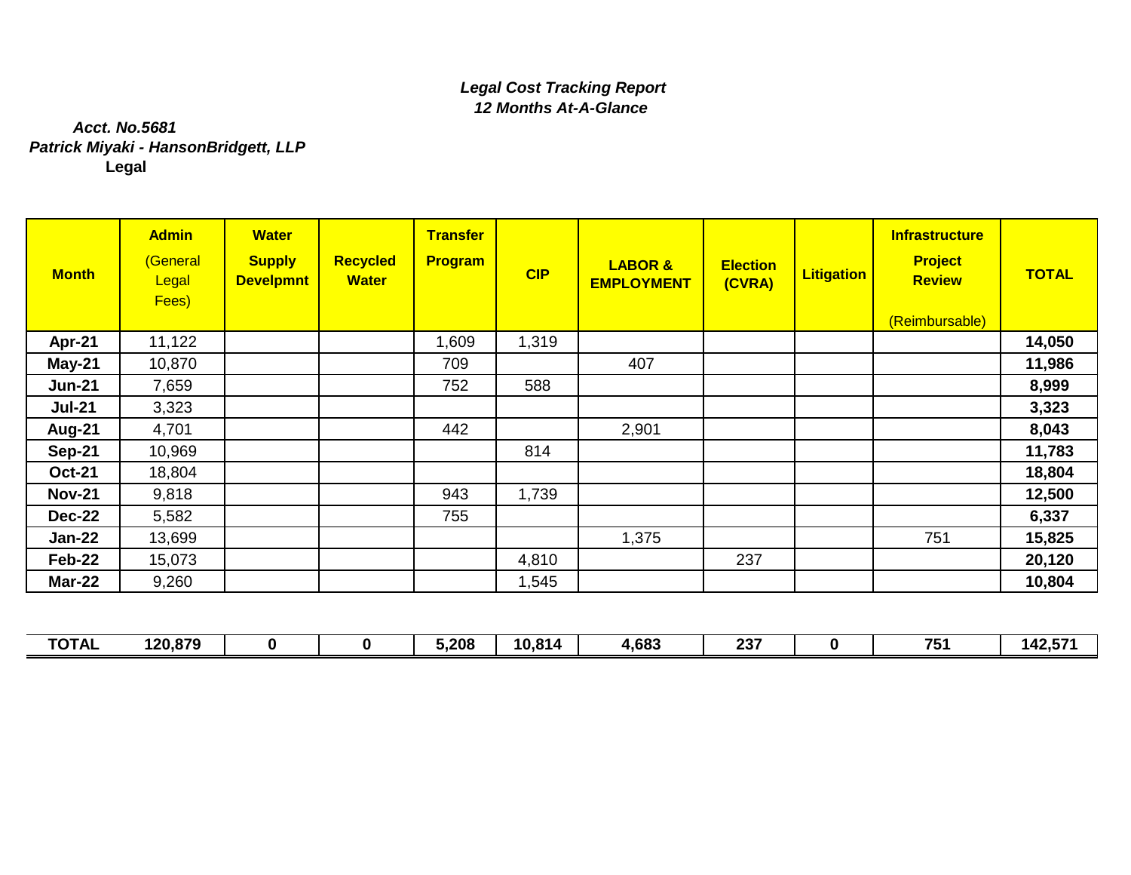# *Legal Cost Tracking Report 12 Months At-A-Glance*

# *Patrick Miyaki - HansonBridgett, LLP* **Legal** *Acct. No.5681*

| <b>Month</b>  | <b>Admin</b><br>(General<br>Legal<br>Fees) | <b>Water</b><br><b>Supply</b><br><b>Develpmnt</b> | <b>Recycled</b><br><b>Water</b> | <b>Transfer</b><br><b>Program</b> | CIP   | <b>LABOR &amp;</b><br><b>EMPLOYMENT</b> | <b>Election</b><br>(CVRA) | <b>Litigation</b> | Infrastructure<br><b>Project</b><br><b>Review</b><br>(Reimbursable) | <b>TOTAL</b> |
|---------------|--------------------------------------------|---------------------------------------------------|---------------------------------|-----------------------------------|-------|-----------------------------------------|---------------------------|-------------------|---------------------------------------------------------------------|--------------|
| Apr-21        | 11,122                                     |                                                   |                                 | 1,609                             | 1,319 |                                         |                           |                   |                                                                     | 14,050       |
| <b>May-21</b> | 10,870                                     |                                                   |                                 | 709                               |       | 407                                     |                           |                   |                                                                     | 11,986       |
| <b>Jun-21</b> | 7,659                                      |                                                   |                                 | 752                               | 588   |                                         |                           |                   |                                                                     | 8,999        |
| <b>Jul-21</b> | 3,323                                      |                                                   |                                 |                                   |       |                                         |                           |                   |                                                                     | 3,323        |
| Aug-21        | 4,701                                      |                                                   |                                 | 442                               |       | 2,901                                   |                           |                   |                                                                     | 8,043        |
| <b>Sep-21</b> | 10,969                                     |                                                   |                                 |                                   | 814   |                                         |                           |                   |                                                                     | 11,783       |
| <b>Oct-21</b> | 18,804                                     |                                                   |                                 |                                   |       |                                         |                           |                   |                                                                     | 18,804       |
| <b>Nov-21</b> | 9,818                                      |                                                   |                                 | 943                               | 1,739 |                                         |                           |                   |                                                                     | 12,500       |
| <b>Dec-22</b> | 5,582                                      |                                                   |                                 | 755                               |       |                                         |                           |                   |                                                                     | 6,337        |
| <b>Jan-22</b> | 13,699                                     |                                                   |                                 |                                   |       | 1,375                                   |                           |                   | 751                                                                 | 15,825       |
| Feb-22        | 15,073                                     |                                                   |                                 |                                   | 4,810 |                                         | 237                       |                   |                                                                     | 20,120       |
| <b>Mar-22</b> | 9,260                                      |                                                   |                                 |                                   | 1,545 |                                         |                           |                   |                                                                     | 10,804       |

| <b>TOTAL</b> | 120,879 |  | 5,208 | 10,814 | 4,683<br>. . | $\sim$<br>∠J | フト<br>. | <u>ет.</u><br>142<br>- ∪<br>- 70 |
|--------------|---------|--|-------|--------|--------------|--------------|---------|----------------------------------|
|              |         |  |       |        |              |              |         |                                  |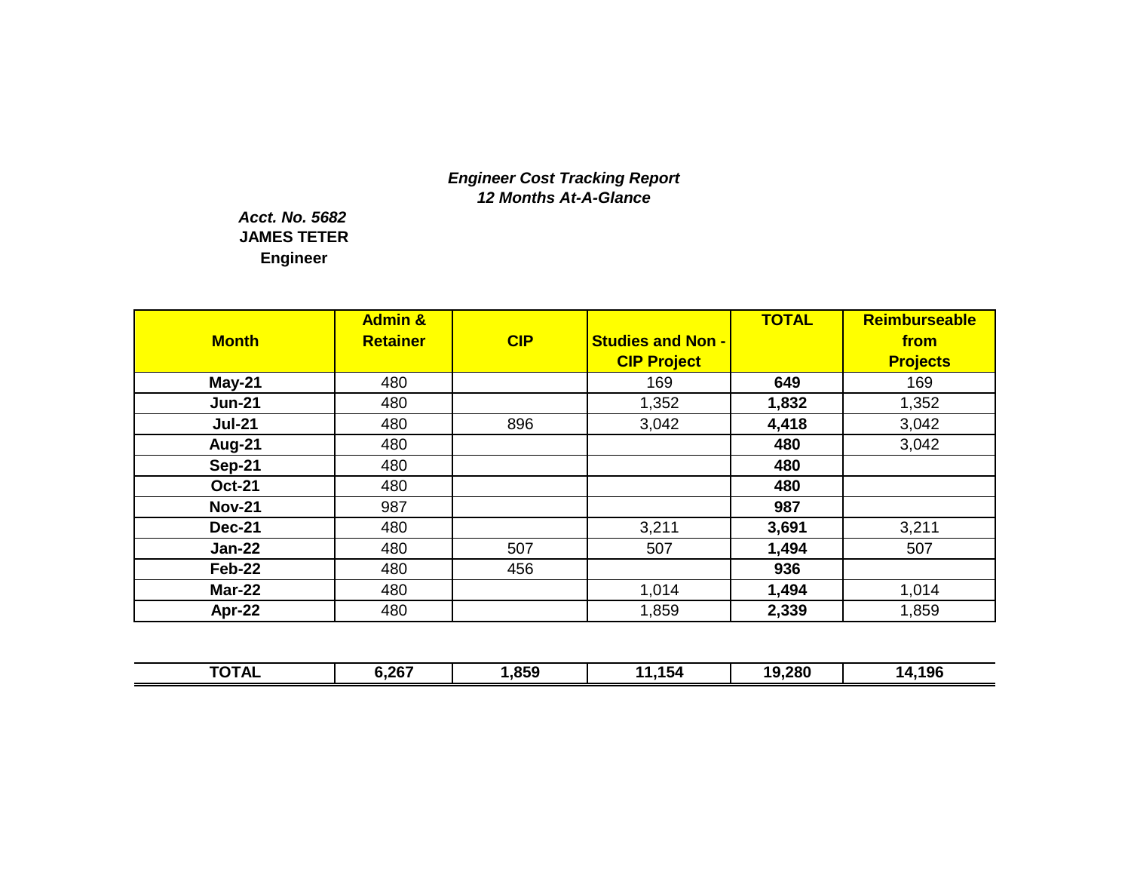# *Engineer Cost Tracking Report 12 Months At-A-Glance*

# **Engineer** *Acct. No. 5682* **JAMES TETER**

|               | <b>Admin &amp;</b> |     |                          | <b>TOTAL</b> | <b>Reimburseable</b> |
|---------------|--------------------|-----|--------------------------|--------------|----------------------|
| <b>Month</b>  | <b>Retainer</b>    | CIP | <b>Studies and Non -</b> |              | from                 |
|               |                    |     | <b>CIP Project</b>       |              | <b>Projects</b>      |
| $May-21$      | 480                |     | 169                      | 649          | 169                  |
| <b>Jun-21</b> | 480                |     | 1,352                    | 1,832        | 1,352                |
| <b>Jul-21</b> | 480                | 896 | 3,042                    | 4,418        | 3,042                |
| <b>Aug-21</b> | 480                |     |                          | 480          | 3,042                |
| <b>Sep-21</b> | 480                |     |                          | 480          |                      |
| <b>Oct-21</b> | 480                |     |                          | 480          |                      |
| <b>Nov-21</b> | 987                |     |                          | 987          |                      |
| <b>Dec-21</b> | 480                |     | 3,211                    | 3,691        | 3,211                |
| <b>Jan-22</b> | 480                | 507 | 507                      | 1,494        | 507                  |
| <b>Feb-22</b> | 480                | 456 |                          | 936          |                      |
| <b>Mar-22</b> | 480                |     | 1,014                    | 1,494        | 1,014                |
| Apr-22        | 480                |     | 1,859                    | 2,339        | 1,859                |

| <b>TOTAL</b> | 6,267 | ,859 | .154<br>л л | 19,280 | 14,196 |
|--------------|-------|------|-------------|--------|--------|
|              |       |      |             |        |        |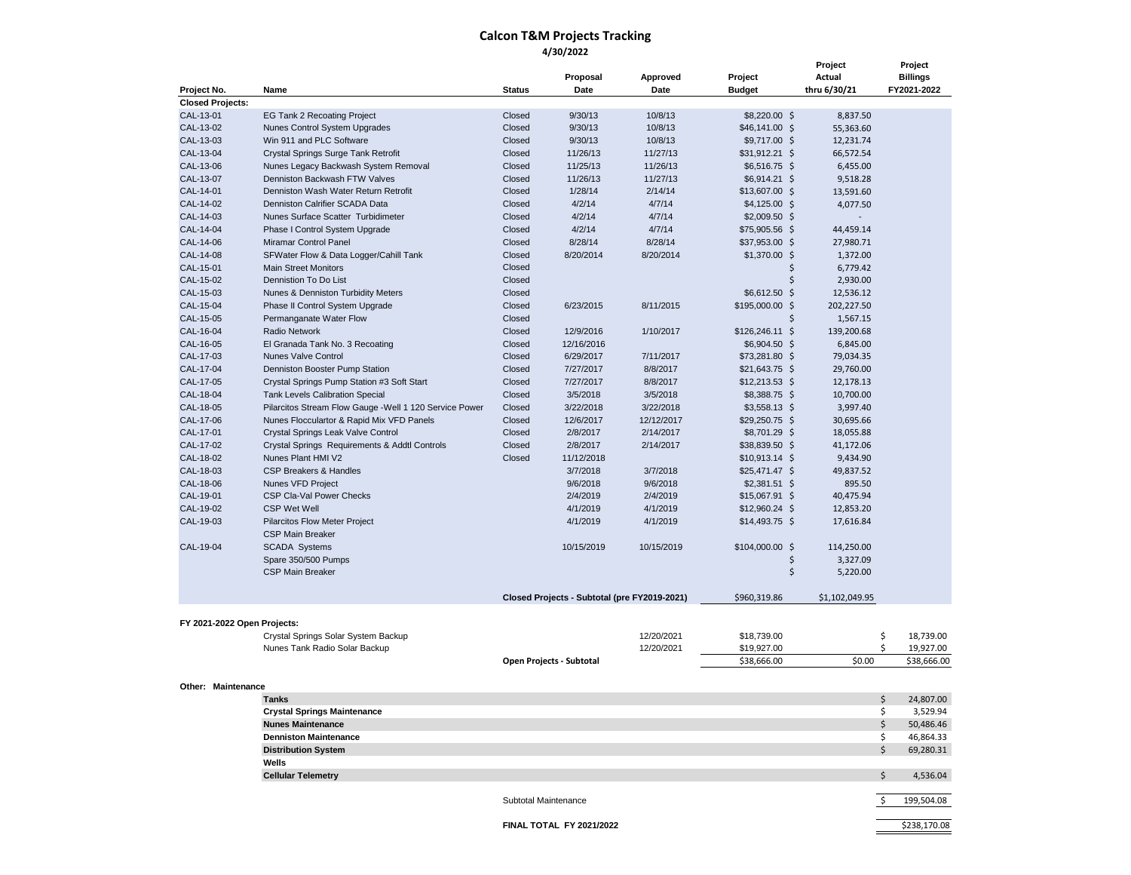### **Calcon T&M Projects Tracking 4/30/2022**

| Project No.                 | Name                                                            | Proposal<br>Approved<br>Date<br><b>Status</b><br>Date |                                              |                   | Project<br><b>Budget</b>         | Project<br>Actual<br>thru 6/30/21 | Project<br><b>Billings</b><br>FY2021-2022 |
|-----------------------------|-----------------------------------------------------------------|-------------------------------------------------------|----------------------------------------------|-------------------|----------------------------------|-----------------------------------|-------------------------------------------|
| <b>Closed Projects:</b>     |                                                                 |                                                       |                                              |                   |                                  |                                   |                                           |
| CAL-13-01                   | <b>EG Tank 2 Recoating Project</b>                              | Closed                                                | 9/30/13                                      | 10/8/13           | $$8,220.00$ \$                   | 8,837.50                          |                                           |
| CAL-13-02                   | <b>Nunes Control System Upgrades</b>                            | Closed                                                | 9/30/13                                      | 10/8/13           | $$46,141.00$ \$                  | 55,363.60                         |                                           |
| CAL-13-03                   | Win 911 and PLC Software                                        | Closed                                                | 9/30/13                                      | 10/8/13           | $$9,717.00$ \$                   | 12,231.74                         |                                           |
| CAL-13-04                   | Crystal Springs Surge Tank Retrofit                             | Closed                                                | 11/26/13                                     | 11/27/13          | $$31,912.21$ \$                  | 66,572.54                         |                                           |
| CAL-13-06                   | Nunes Legacy Backwash System Removal                            | Closed                                                | 11/25/13                                     | 11/26/13          | $$6,516.75$ \$                   | 6,455.00                          |                                           |
| CAL-13-07                   | Denniston Backwash FTW Valves                                   | Closed                                                | 11/26/13                                     | 11/27/13          | $$6,914.21$ \$                   | 9,518.28                          |                                           |
| CAL-14-01                   | Denniston Wash Water Return Retrofit                            | Closed                                                | 1/28/14                                      | 2/14/14           | $$13,607.00$ \$                  | 13,591.60                         |                                           |
| CAL-14-02                   | Denniston Calrifier SCADA Data                                  | Closed                                                | 4/2/14                                       | 4/7/14            | $$4,125.00$ \$                   | 4,077.50                          |                                           |
| CAL-14-03<br>CAL-14-04      | Nunes Surface Scatter Turbidimeter                              | Closed                                                | 4/2/14                                       | 4/7/14            | $$2,009.50$ \$                   |                                   |                                           |
| CAL-14-06                   | Phase I Control System Upgrade                                  | Closed<br>Closed                                      | 4/2/14<br>8/28/14                            | 4/7/14<br>8/28/14 | $$75,905.56$ \$                  | 44,459.14                         |                                           |
| CAL-14-08                   | Miramar Control Panel                                           | Closed                                                | 8/20/2014                                    | 8/20/2014         | \$37,953.00 \$<br>$$1,370.00$ \$ | 27,980.71                         |                                           |
| CAL-15-01                   | SFWater Flow & Data Logger/Cahill Tank                          | Closed                                                |                                              |                   | \$                               | 1,372.00                          |                                           |
| CAL-15-02                   | <b>Main Street Monitors</b><br>Dennistion To Do List            | Closed                                                |                                              |                   | \$                               | 6,779.42<br>2,930.00              |                                           |
| CAL-15-03                   | Nunes & Denniston Turbidity Meters                              | Closed                                                |                                              |                   | \$6,612.50 \$                    | 12,536.12                         |                                           |
| CAL-15-04                   | Phase II Control System Upgrade                                 | Closed                                                | 6/23/2015                                    | 8/11/2015         | $$195,000.00$ \$                 | 202,227.50                        |                                           |
| CAL-15-05                   | Permanganate Water Flow                                         | Closed                                                |                                              |                   | \$                               | 1,567.15                          |                                           |
| CAL-16-04                   | <b>Radio Network</b>                                            | Closed                                                | 12/9/2016                                    | 1/10/2017         | $$126,246.11$ \$                 | 139,200.68                        |                                           |
| CAL-16-05                   | El Granada Tank No. 3 Recoating                                 | Closed                                                | 12/16/2016                                   |                   | $$6,904.50$ \$                   | 6,845.00                          |                                           |
| CAL-17-03                   | <b>Nunes Valve Control</b>                                      | Closed                                                | 6/29/2017                                    | 7/11/2017         | $$73,281.80$ \$                  | 79,034.35                         |                                           |
| CAL-17-04                   | Denniston Booster Pump Station                                  | Closed                                                | 7/27/2017                                    | 8/8/2017          | $$21,643.75$ \$                  | 29,760.00                         |                                           |
| CAL-17-05                   | Crystal Springs Pump Station #3 Soft Start                      | Closed                                                | 7/27/2017                                    | 8/8/2017          | $$12,213.53$ \$                  | 12,178.13                         |                                           |
| CAL-18-04                   | <b>Tank Levels Calibration Special</b>                          | Closed                                                | 3/5/2018                                     | 3/5/2018          | $$8,388.75$ \$                   | 10,700.00                         |                                           |
| CAL-18-05                   | Pilarcitos Stream Flow Gauge - Well 1 120 Service Power         | Closed                                                | 3/22/2018                                    | 3/22/2018         | $$3,558.13$ \$                   | 3,997.40                          |                                           |
| CAL-17-06                   | Nunes Flocculartor & Rapid Mix VFD Panels                       | Closed                                                | 12/6/2017                                    | 12/12/2017        | $$29,250.75$ \$                  | 30,695.66                         |                                           |
| CAL-17-01                   | Crystal Springs Leak Valve Control                              | Closed                                                | 2/8/2017                                     | 2/14/2017         | \$8,701.29 \$                    | 18,055.88                         |                                           |
| CAL-17-02                   | Crystal Springs Requirements & Addtl Controls                   | Closed                                                | 2/8/2017                                     | 2/14/2017         | \$38,839.50 \$                   | 41,172.06                         |                                           |
| CAL-18-02                   | Nunes Plant HMI V2                                              | Closed                                                | 11/12/2018                                   |                   | $$10,913.14$ \$                  | 9,434.90                          |                                           |
| CAL-18-03                   | <b>CSP Breakers &amp; Handles</b>                               |                                                       | 3/7/2018                                     | 3/7/2018          | $$25,471.47$ \$                  | 49,837.52                         |                                           |
| CAL-18-06                   | Nunes VFD Project                                               |                                                       | 9/6/2018                                     | 9/6/2018          | $$2,381.51$ \$                   | 895.50                            |                                           |
| CAL-19-01                   | CSP Cla-Val Power Checks                                        |                                                       | 2/4/2019                                     | 2/4/2019          | $$15,067.91$ \$                  | 40,475.94                         |                                           |
| CAL-19-02                   | <b>CSP Wet Well</b>                                             |                                                       | 4/1/2019                                     | 4/1/2019          | \$12,960.24\$                    | 12,853.20                         |                                           |
| CAL-19-03                   | <b>Pilarcitos Flow Meter Project</b><br><b>CSP Main Breaker</b> |                                                       | 4/1/2019                                     | 4/1/2019          | $$14,493.75$ \$                  | 17,616.84                         |                                           |
| CAL-19-04                   | <b>SCADA Systems</b><br>Spare 350/500 Pumps                     |                                                       | 10/15/2019                                   | 10/15/2019        | $$104,000.00$ \$<br>\$           | 114,250.00<br>3,327.09            |                                           |
|                             | <b>CSP Main Breaker</b>                                         |                                                       |                                              |                   | \$                               | 5,220.00                          |                                           |
|                             |                                                                 |                                                       | Closed Projects - Subtotal (pre FY2019-2021) |                   | \$960,319.86                     | \$1,102,049.95                    |                                           |
| FY 2021-2022 Open Projects: |                                                                 |                                                       |                                              |                   |                                  |                                   |                                           |
|                             | Crystal Springs Solar System Backup                             |                                                       |                                              | 12/20/2021        | \$18,739.00                      |                                   | \$<br>18,739.00                           |
|                             | Nunes Tank Radio Solar Backup                                   |                                                       |                                              | 12/20/2021        | \$19,927.00                      |                                   | \$<br>19,927.00                           |
|                             |                                                                 |                                                       | Open Projects - Subtotal                     |                   | \$38,666.00                      | \$0.00                            | \$38,666.00                               |
| <b>Other: Maintenance</b>   |                                                                 |                                                       |                                              |                   |                                  |                                   |                                           |
|                             | <b>lanks</b>                                                    |                                                       |                                              |                   |                                  |                                   | 24,807.00                                 |
|                             | <b>Crystal Springs Maintenance</b>                              |                                                       |                                              |                   |                                  |                                   | \$<br>3,529.94                            |
|                             | <b>Nunes Maintenance</b>                                        |                                                       |                                              |                   |                                  |                                   | \$<br>50,486.46                           |
|                             | <b>Denniston Maintenance</b>                                    |                                                       |                                              |                   |                                  |                                   | 46,864.33<br>\$                           |
|                             | <b>Distribution System</b>                                      |                                                       |                                              |                   |                                  |                                   | \$<br>69,280.31                           |
|                             | Wells                                                           |                                                       |                                              |                   |                                  |                                   |                                           |
|                             | <b>Cellular Telemetry</b>                                       |                                                       |                                              |                   |                                  |                                   | \$<br>4,536.04                            |
|                             |                                                                 | Subtotal Maintenance                                  |                                              |                   |                                  |                                   | \$<br>199,504.08                          |
|                             |                                                                 |                                                       | <b>FINAL TOTAL FY 2021/2022</b>              |                   |                                  |                                   | \$238,170.08                              |